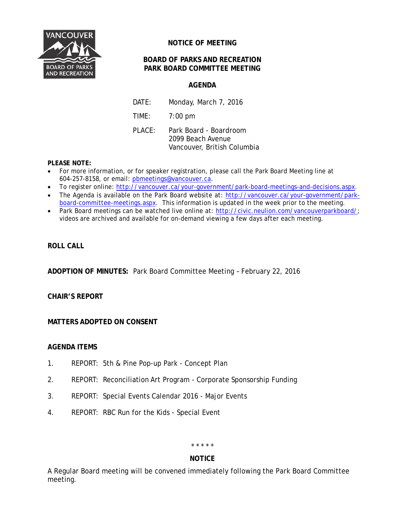

# **NOTICE OF MEETING**

# **BOARD OF PARKS AND RECREATION PARK BOARD COMMITTEE MEETING**

# **AGENDA**

DATE: Monday, March 7, 2016 TIME: 7:00 pm PLACE: Park Board - Boardroom 2099 Beach Avenue Vancouver, British Columbia

### **PLEASE NOTE:**

- For more information, or for speaker registration, please call the Park Board Meeting line at 604-257-8158, or email: [pbmeetings@vancouver.ca.](mailto:pbmeetings@vancouver.ca)
- To register online: [http://vancouver.ca/your-government/park-board-meetings-and-decisions.aspx.](http://vancouver.ca/your-government/park-board-meetings-and-decisions.aspx)
- The Agenda is available on the Park Board website at: [http://vancouver.ca/your-government/park](http://vancouver.ca/your-government/park-board-committee-meetings.aspx)[board-committee-meetings.aspx.](http://vancouver.ca/your-government/park-board-committee-meetings.aspx) This information is updated in the week prior to the meeting.
- Park Board meetings can be watched live online at: [http://civic.neulion.com/vancouverparkboard/;](http://civic.neulion.com/vancouverparkboard/) videos are archived and available for on-demand viewing a few days after each meeting.

## **ROLL CALL**

**ADOPTION OF MINUTES:** Park Board Committee Meeting – February 22, 2016

#### **CHAIR'S REPORT**

# **MATTERS ADOPTED ON CONSENT**

#### **AGENDA ITEMS**

- 1. REPORT: 5th & Pine Pop-up Park Concept Plan
- 2. REPORT: Reconciliation Art Program Corporate Sponsorship Funding
- 3. REPORT: Special Events Calendar 2016 Major Events
- 4. REPORT: RBC Run for the Kids Special Event

#### \* \* \* \* \*

#### **NOTICE**

A Regular Board meeting will be convened immediately following the Park Board Committee meeting.